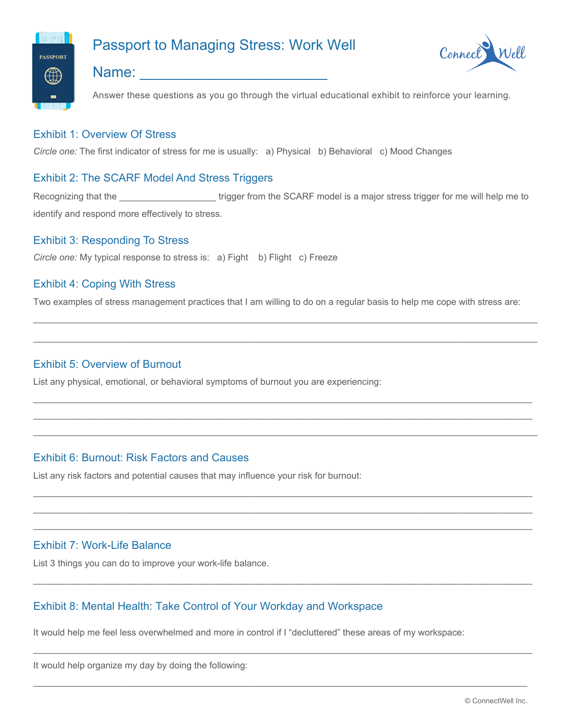

# Passport to Managing Stress: Work Well



# Name:  $\Box$

Answer these questions as you go through the virtual educational exhibit to reinforce your learning.

# Exhibit 1: Overview Of Stress

*Circle one:* The first indicator of stress for me is usually: a) Physical b) Behavioral c) Mood Changes

# Exhibit 2: The SCARF Model And Stress Triggers

Recognizing that the \_\_\_\_\_\_\_\_\_\_\_\_\_\_\_\_\_\_\_\_\_\_\_trigger from the SCARF model is a major stress trigger for me will help me to identify and respond more effectively to stress.

#### Exhibit 3: Responding To Stress

*Circle one:* My typical response to stress is: a) Fight b) Flight c) Freeze

#### Exhibit 4: Coping With Stress

Two examples of stress management practices that I am willing to do on a regular basis to help me cope with stress are:

\_\_\_\_\_\_\_\_\_\_\_\_\_\_\_\_\_\_\_\_\_\_\_\_\_\_\_\_\_\_\_\_\_\_\_\_\_\_\_\_\_\_\_\_\_\_\_\_\_\_\_\_\_\_\_\_\_\_\_\_\_\_\_\_\_\_\_\_\_\_\_\_\_\_\_\_\_\_\_\_\_\_\_\_\_\_\_\_\_\_\_\_\_\_\_\_\_\_\_

 $\mathcal{L}_\mathcal{L} = \{ \mathcal{L}_\mathcal{L} = \{ \mathcal{L}_\mathcal{L} = \{ \mathcal{L}_\mathcal{L} = \{ \mathcal{L}_\mathcal{L} = \{ \mathcal{L}_\mathcal{L} = \{ \mathcal{L}_\mathcal{L} = \{ \mathcal{L}_\mathcal{L} = \{ \mathcal{L}_\mathcal{L} = \{ \mathcal{L}_\mathcal{L} = \{ \mathcal{L}_\mathcal{L} = \{ \mathcal{L}_\mathcal{L} = \{ \mathcal{L}_\mathcal{L} = \{ \mathcal{L}_\mathcal{L} = \{ \mathcal{L}_\mathcal{$ 

 $\overline{a}$  , and the set of the set of the set of the set of the set of the set of the set of the set of the set of the set of the set of the set of the set of the set of the set of the set of the set of the set of the set  $\overline{a}$  , and the set of the set of the set of the set of the set of the set of the set of the set of the set of the set of the set of the set of the set of the set of the set of the set of the set of the set of the set  $\mathcal{L}_\mathcal{L} = \{ \mathcal{L}_\mathcal{L} = \{ \mathcal{L}_\mathcal{L} = \{ \mathcal{L}_\mathcal{L} = \{ \mathcal{L}_\mathcal{L} = \{ \mathcal{L}_\mathcal{L} = \{ \mathcal{L}_\mathcal{L} = \{ \mathcal{L}_\mathcal{L} = \{ \mathcal{L}_\mathcal{L} = \{ \mathcal{L}_\mathcal{L} = \{ \mathcal{L}_\mathcal{L} = \{ \mathcal{L}_\mathcal{L} = \{ \mathcal{L}_\mathcal{L} = \{ \mathcal{L}_\mathcal{L} = \{ \mathcal{L}_\mathcal{$ 

 $\Box$  $\overline{a}$  , and the contribution of the contribution of the contribution of the contribution of the contribution of the contribution of the contribution of the contribution of the contribution of the contribution of the co  $\overline{a}$  , and the set of the set of the set of the set of the set of the set of the set of the set of the set of the set of the set of the set of the set of the set of the set of the set of the set of the set of the set

 $\mathcal{L}_\mathcal{L} = \{ \mathcal{L}_\mathcal{L} = \{ \mathcal{L}_\mathcal{L} = \{ \mathcal{L}_\mathcal{L} = \{ \mathcal{L}_\mathcal{L} = \{ \mathcal{L}_\mathcal{L} = \{ \mathcal{L}_\mathcal{L} = \{ \mathcal{L}_\mathcal{L} = \{ \mathcal{L}_\mathcal{L} = \{ \mathcal{L}_\mathcal{L} = \{ \mathcal{L}_\mathcal{L} = \{ \mathcal{L}_\mathcal{L} = \{ \mathcal{L}_\mathcal{L} = \{ \mathcal{L}_\mathcal{L} = \{ \mathcal{L}_\mathcal{$ 

 $\Box$ 

 $\mathcal{L}_\mathcal{L} = \{ \mathcal{L}_\mathcal{L} = \{ \mathcal{L}_\mathcal{L} = \{ \mathcal{L}_\mathcal{L} = \{ \mathcal{L}_\mathcal{L} = \{ \mathcal{L}_\mathcal{L} = \{ \mathcal{L}_\mathcal{L} = \{ \mathcal{L}_\mathcal{L} = \{ \mathcal{L}_\mathcal{L} = \{ \mathcal{L}_\mathcal{L} = \{ \mathcal{L}_\mathcal{L} = \{ \mathcal{L}_\mathcal{L} = \{ \mathcal{L}_\mathcal{L} = \{ \mathcal{L}_\mathcal{L} = \{ \mathcal{L}_\mathcal{$ 

#### Exhibit 5: Overview of Burnout

List any physical, emotional, or behavioral symptoms of burnout you are experiencing:

# Exhibit 6: Burnout: Risk Factors and Causes

List any risk factors and potential causes that may influence your risk for burnout:

#### Exhibit 7: Work-Life Balance

List 3 things you can do to improve your work-life balance.

#### Exhibit 8: Mental Health: Take Control of Your Workday and Workspace

It would help me feel less overwhelmed and more in control if I "decluttered" these areas of my workspace:

It would help organize my day by doing the following: